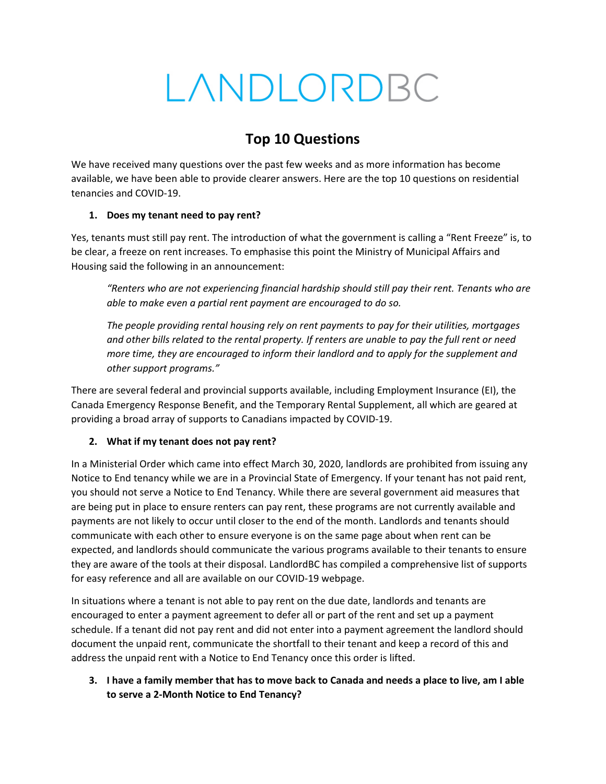# LANDLORDBC

# **Top 10 Questions**

We have received many questions over the past few weeks and as more information has become available, we have been able to provide clearer answers. Here are the top 10 questions on residential tenancies and COVID-19.

### **1. Does my tenant need to pay rent?**

Yes, tenants must still pay rent. The introduction of what the government is calling a "Rent Freeze" is, to be clear, a freeze on rent increases. To emphasise this point the Ministry of Municipal Affairs and Housing said the following in an announcement:

*"Renters who are not experiencing financial hardship should still pay their rent. Tenants who are able to make even a partial rent payment are encouraged to do so.*

*The people providing rental housing rely on rent payments to pay for their utilities, mortgages and other bills related to the rental property. If renters are unable to pay the full rent or need more time, they are encouraged to inform their landlord and to apply for the supplement and other support programs."*

There are several federal and provincial supports available, including Employment Insurance (EI), the Canada Emergency Response Benefit, and the Temporary Rental Supplement, all which are geared at providing a broad array of supports to Canadians impacted by COVID-19.

# **2. What if my tenant does not pay rent?**

In a Ministerial Order which came into effect March 30, 2020, landlords are prohibited from issuing any Notice to End tenancy while we are in a Provincial State of Emergency. If your tenant has not paid rent, you should not serve a Notice to End Tenancy. While there are several government aid measures that are being put in place to ensure renters can pay rent, these programs are not currently available and payments are not likely to occur until closer to the end of the month. Landlords and tenants should communicate with each other to ensure everyone is on the same page about when rent can be expected, and landlords should communicate the various programs available to their tenants to ensure they are aware of the tools at their disposal. LandlordBC has compiled a comprehensive list of supports for easy reference and all are available on our COVID-19 webpage.

In situations where a tenant is not able to pay rent on the due date, landlords and tenants are encouraged to enter a payment agreement to defer all or part of the rent and set up a payment schedule. If a tenant did not pay rent and did not enter into a payment agreement the landlord should document the unpaid rent, communicate the shortfall to their tenant and keep a record of this and address the unpaid rent with a Notice to End Tenancy once this order is lifted.

### **3. I have a family member that has to move back to Canada and needs a place to live, am I able to serve a 2-Month Notice to End Tenancy?**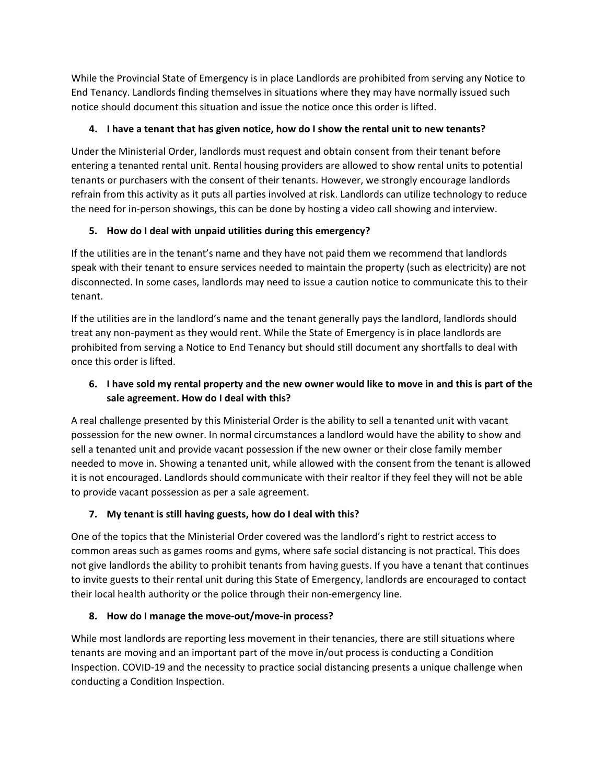While the Provincial State of Emergency is in place Landlords are prohibited from serving any Notice to End Tenancy. Landlords finding themselves in situations where they may have normally issued such notice should document this situation and issue the notice once this order is lifted.

# **4. I have a tenant that has given notice, how do I show the rental unit to new tenants?**

Under the Ministerial Order, landlords must request and obtain consent from their tenant before entering a tenanted rental unit. Rental housing providers are allowed to show rental units to potential tenants or purchasers with the consent of their tenants. However, we strongly encourage landlords refrain from this activity as it puts all parties involved at risk. Landlords can utilize technology to reduce the need for in-person showings, this can be done by hosting a video call showing and interview.

# **5. How do I deal with unpaid utilities during this emergency?**

If the utilities are in the tenant's name and they have not paid them we recommend that landlords speak with their tenant to ensure services needed to maintain the property (such as electricity) are not disconnected. In some cases, landlords may need to issue a caution notice to communicate this to their tenant.

If the utilities are in the landlord's name and the tenant generally pays the landlord, landlords should treat any non-payment as they would rent. While the State of Emergency is in place landlords are prohibited from serving a Notice to End Tenancy but should still document any shortfalls to deal with once this order is lifted.

# **6. I have sold my rental property and the new owner would like to move in and this is part of the sale agreement. How do I deal with this?**

A real challenge presented by this Ministerial Order is the ability to sell a tenanted unit with vacant possession for the new owner. In normal circumstances a landlord would have the ability to show and sell a tenanted unit and provide vacant possession if the new owner or their close family member needed to move in. Showing a tenanted unit, while allowed with the consent from the tenant is allowed it is not encouraged. Landlords should communicate with their realtor if they feel they will not be able to provide vacant possession as per a sale agreement.

# **7. My tenant is still having guests, how do I deal with this?**

One of the topics that the Ministerial Order covered was the landlord's right to restrict access to common areas such as games rooms and gyms, where safe social distancing is not practical. This does not give landlords the ability to prohibit tenants from having guests. If you have a tenant that continues to invite guests to their rental unit during this State of Emergency, landlords are encouraged to contact their local health authority or the police through their non-emergency line.

# **8. How do I manage the move-out/move-in process?**

While most landlords are reporting less movement in their tenancies, there are still situations where tenants are moving and an important part of the move in/out process is conducting a Condition Inspection. COVID-19 and the necessity to practice social distancing presents a unique challenge when conducting a Condition Inspection.